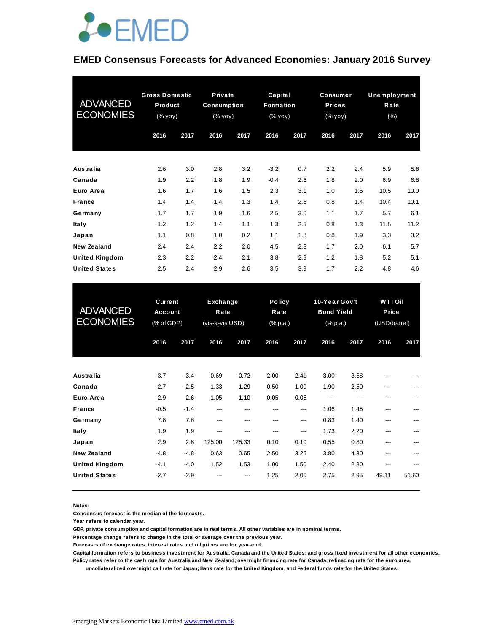

#### **EMED Consensus Forecasts for Advanced Economies: January 2016 Survey**

| <b>ADVANCED</b><br><b>ECONOMIES</b> | <b>Gross Domestic</b><br>Product<br>$(% \mathsf{y}\right)$ (% $\overline{\mathsf{y}}$ oy) |      | Private<br><b>Consumption</b><br>(% yoy) |      | Capital<br>Formation<br>(% yoy) |      | <b>Consumer</b><br><b>Prices</b><br>(% yoy) |      | Unemployment<br>Rate<br>(% ) |      |
|-------------------------------------|-------------------------------------------------------------------------------------------|------|------------------------------------------|------|---------------------------------|------|---------------------------------------------|------|------------------------------|------|
|                                     | 2016                                                                                      | 2017 | 2016                                     | 2017 | 2016                            | 2017 | 2016                                        | 2017 | 2016                         | 2017 |
| <b>Australia</b>                    | 2.6                                                                                       | 3.0  | 2.8                                      | 3.2  | $-3.2$                          | 0.7  | 2.2                                         | 2.4  | 5.9                          | 5.6  |
| Canada                              | 1.9                                                                                       | 2.2  | 1.8                                      | 1.9  | $-0.4$                          | 2.6  | 1.8                                         | 2.0  | 6.9                          | 6.8  |
| Euro Area                           | 1.6                                                                                       | 1.7  | 1.6                                      | 1.5  | 2.3                             | 3.1  | 1.0                                         | 1.5  | 10.5                         | 10.0 |
| <b>France</b>                       | 1.4                                                                                       | 1.4  | 1.4                                      | 1.3  | 1.4                             | 2.6  | 0.8                                         | 1.4  | 10.4                         | 10.1 |
| Germany                             | 1.7                                                                                       | 1.7  | 1.9                                      | 1.6  | 2.5                             | 3.0  | 1.1                                         | 1.7  | 5.7                          | 6.1  |
| <b>Italy</b>                        | 1.2                                                                                       | 1.2  | 1.4                                      | 1.1  | 1.3                             | 2.5  | 0.8                                         | 1.3  | 11.5                         | 11.2 |
| Japan                               | 1.1                                                                                       | 0.8  | 1.0                                      | 0.2  | 1.1                             | 1.8  | 0.8                                         | 1.9  | 3.3                          | 3.2  |
| New Zealand                         | 2.4                                                                                       | 2.4  | 2.2                                      | 2.0  | 4.5                             | 2.3  | 1.7                                         | 2.0  | 6.1                          | 5.7  |
| United Kingdom                      | 2.3                                                                                       | 2.2  | 2.4                                      | 2.1  | 3.8                             | 2.9  | 1.2                                         | 1.8  | 5.2                          | 5.1  |
| <b>United States</b>                | 2.5                                                                                       | 2.4  | 2.9                                      | 2.6  | 3.5                             | 3.9  | 1.7                                         | 2.2  | 4.8                          | 4.6  |

| <b>United States</b>                          | 2.5                                            | 2.4              | 2.9                                 | 2.6            | 3.5                               | 3.9          | 1.7                                                       | 2.2          | 4.8                                     | 4.6   |
|-----------------------------------------------|------------------------------------------------|------------------|-------------------------------------|----------------|-----------------------------------|--------------|-----------------------------------------------------------|--------------|-----------------------------------------|-------|
| <b>ADVANCED</b><br><b>ECONOMIES</b>           | <b>Current</b><br><b>Account</b><br>(% of GDP) |                  | Exchange<br>Rate<br>(vis-a-vis USD) |                | <b>Policy</b><br>Rate<br>(% p.a.) |              | 10-Year Gov't<br><b>Bond Yield</b><br>$(%$ $(*)$ $(a, b)$ |              | <b>WTI Oil</b><br>Price<br>(USD/barrel) |       |
|                                               | 2016                                           | 2017             | 2016                                | 2017           | 2016                              | 2017         | 2016                                                      | 2017         | 2016                                    | 2017  |
| <b>Australia</b>                              | $-3.7$                                         | $-3.4$           | 0.69                                | 0.72           | 2.00                              | 2.41         | 3.00                                                      | 3.58         |                                         |       |
| Canada<br>Euro Area                           | $-2.7$<br>2.9                                  | $-2.5$<br>2.6    | 1.33<br>1.05                        | 1.29<br>1.10   | 0.50<br>0.05                      | 1.00<br>0.05 | 1.90<br>---                                               | 2.50<br>---  | ---<br>---                              | ---   |
| <b>France</b>                                 | $-0.5$                                         | $-1.4$           | ---                                 | ---            | ---                               | ---          | 1.06                                                      | 1.45         | ---                                     | ---   |
| Germany<br><b>Italy</b>                       | 7.8<br>1.9                                     | 7.6<br>1.9       | ---<br>---                          | ---<br>---     | ---<br>---                        | ---<br>---   | 0.83<br>1.73                                              | 1.40<br>2.20 | ---<br>---                              |       |
| Japan<br>New Zealand                          | 2.9<br>$-4.8$                                  | 2.8<br>$-4.8$    | 125.00<br>0.63                      | 125.33<br>0.65 | 0.10<br>2.50                      | 0.10<br>3.25 | 0.55<br>3.80                                              | 0.80<br>4.30 | ---<br>---                              | ---   |
| <b>United Kingdom</b><br><b>United States</b> | $-4.1$<br>$-2.7$                               | $-4.0$<br>$-2.9$ | 1.52                                | 1.53<br>---    | 1.00<br>1.25                      | 1.50<br>2.00 | 2.40<br>2.75                                              | 2.80<br>2.95 | ---<br>49.11                            | 51.60 |
|                                               |                                                |                  |                                     |                |                                   |              |                                                           |              |                                         |       |

**Notes:** 

**Consensus forecast is the median of the forecasts.**

**Year refers to calendar year.**

**GDP, private consumption and capital formation are in real terms. All other variables are in nominal terms.**

**Percentage change refers to change in the total or average over the previous year.**

**Forecasts of exchange rates, interest rates and oil prices are for year-end.**

**Capital formation refers to business investment for Australia, Canada and the United States; and gross fixed investment for all other economies. Policy rates refer to the cash rate for Australia and New Zealand; overnight financing rate for Canada; refinacing rate for the euro area;** 

 **uncollateralized overnight call rate for Japan; Bank rate for the United Kingdom; and Federal funds rate for the United States.**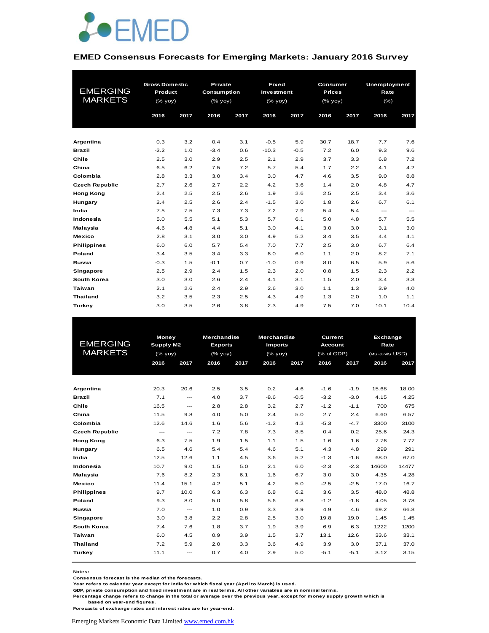

#### **EMED Consensus Forecasts for Emerging Markets: January 2016 Survey**

|                       | <b>Gross Domestic</b> |      | Private      |      |            | <b>Fixed</b><br>Consumer |               |      | Unemployment           |                        |
|-----------------------|-----------------------|------|--------------|------|------------|--------------------------|---------------|------|------------------------|------------------------|
| <b>EMERGING</b>       | Product               |      | Consumption  |      | Investment |                          | <b>Prices</b> |      | Rate                   |                        |
| <b>MARKETS</b>        | (% yoy)               |      | $(%$ (% yoy) |      | (% yoy)    |                          | (% yoy)       |      | $(\% )$                |                        |
|                       | 2016                  | 2017 | 2016         | 2017 | 2016       | 2017                     | 2016          | 2017 | 2016                   | 2017                   |
|                       |                       |      |              |      |            |                          |               |      |                        |                        |
|                       |                       |      |              |      |            |                          |               |      |                        |                        |
| Argentina             | 0.3                   | 3.2  | 0.4          | 3.1  | $-0.5$     | 5.9                      | 30.7          | 18.7 | 7.7                    | 7.6                    |
| <b>Brazil</b>         | $-2.2$                | 1.0  | $-3.4$       | 0.6  | $-10.3$    | $-0.5$                   | 7.2           | 6.0  | 9.3                    | 9.6                    |
| Chile                 | 2.5                   | 3.0  | 2.9          | 2.5  | 2.1        | 2.9                      | 3.7           | 3.3  | 6.8                    | 7.2                    |
| China                 | 6.5                   | 6.2  | 7.5          | 7.2  | 5.7        | 5.4                      | 1.7           | 2.2  | 4.1                    | 4.2                    |
| Colombia              | 2.8                   | 3.3  | 3.0          | 3.4  | 3.0        | 4.7                      | 4.6           | 3.5  | 9.0                    | 8.8                    |
| <b>Czech Republic</b> | 2.7                   | 2.6  | 2.7          | 2.2  | 4.2        | 3.6                      | 1.4           | 2.0  | 4.8                    | 4.7                    |
| <b>Hong Kong</b>      | 2.4                   | 2.5  | 2.5          | 2.6  | 1.9        | 2.6                      | 2.5           | 2.5  | 3.4                    | 3.6                    |
| Hungary               | 2.4                   | 2.5  | 2.6          | 2.4  | $-1.5$     | 3.0                      | 1.8           | 2.6  | 6.7                    | 6.1                    |
| India                 | 7.5                   | 7.5  | 7.3          | 7.3  | 7.2        | 7.9                      | 5.4           | 5.4  | $\qquad \qquad \cdots$ | $\qquad \qquad \cdots$ |
| Indonesia             | 5.0                   | 5.5  | 5.1          | 5.3  | 5.7        | 6.1                      | 5.0           | 4.8  | 5.7                    | 5.5                    |
| Malaysia              | 4.6                   | 4.8  | 4.4          | 5.1  | 3.0        | 4.1                      | 3.0           | 3.0  | 3.1                    | 3.0                    |
| <b>Mexico</b>         | 2.8                   | 3.1  | 3.0          | 3.0  | 4.9        | 5.2                      | 3.4           | 3.5  | 4.4                    | 4.1                    |
| <b>Philippines</b>    | 6.0                   | 6.0  | 5.7          | 5.4  | 7.0        | 7.7                      | 2.5           | 3.0  | 6.7                    | 6.4                    |
| Poland                | 3.4                   | 3.5  | 3.4          | 3.3  | 6.0        | 6.0                      | 1.1           | 2.0  | 8.2                    | 7.1                    |
| Russia                | $-0.3$                | 1.5  | $-0.1$       | 0.7  | $-1.0$     | 0.9                      | 8.0           | 6.5  | 5.9                    | 5.6                    |
| Singapore             | 2.5                   | 2.9  | 2.4          | 1.5  | 2.3        | 2.0                      | 0.8           | 1.5  | 2.3                    | 2.2                    |
| South Korea           | 3.0                   | 3.0  | 2.6          | 2.4  | 4.1        | 3.1                      | 1.5           | 2.0  | 3.4                    | 3.3                    |
| Taiwan                | 2.1                   | 2.6  | 2.4          | 2.9  | 2.6        | 3.0                      | 1.1           | 1.3  | 3.9                    | 4.0                    |
| <b>Thailand</b>       | 3.2                   | 3.5  | 2.3          | 2.5  | 4.3        | 4.9                      | 1.3           | 2.0  | 1.0                    | 1.1                    |
| Turkey                | 3.0                   | 3.5  | 2.6          | 3.8  | 2.3        | 4.9                      | 7.5           | 7.0  | 10.1                   | 10.4                   |

| <b>EMERGING</b><br><b>MARKETS</b> |                          | Money<br>Supply M2<br>$(%$ (% yoy) |      | Merchandise<br><b>Exports</b><br>(% yoy) | <b>Merchandise</b><br><b>Imports</b><br>$(%$ $\sqrt{)$ yoy) |        | Current<br><b>Account</b><br>(% of GDP) |        | Exchange<br>Rate<br>(vis-a-vis USD) |       |
|-----------------------------------|--------------------------|------------------------------------|------|------------------------------------------|-------------------------------------------------------------|--------|-----------------------------------------|--------|-------------------------------------|-------|
|                                   | 2016                     | 2017                               | 2016 | 2017                                     | 2016                                                        | 2017   | 2016                                    | 2017   | 2016                                | 2017  |
|                                   |                          |                                    |      |                                          |                                                             |        |                                         |        |                                     |       |
| Argentina                         | 20.3                     | 20.6                               | 2.5  | 3.5                                      | 0.2                                                         | 4.6    | $-1.6$                                  | $-1.9$ | 15.68                               | 18.00 |
| <b>Brazil</b>                     | 7.1                      | ---                                | 4.0  | 3.7                                      | $-8.6$                                                      | $-0.5$ | $-3.2$                                  | $-3.0$ | 4.15                                | 4.25  |
| Chile                             | 16.5                     | $\frac{1}{2}$                      | 2.8  | 2.8                                      | 3.2                                                         | 2.7    | $-1.2$                                  | $-1.1$ | 700                                 | 675   |
| China                             | 11.5                     | 9.8                                | 4.0  | 5.0                                      | 2.4                                                         | 5.0    | 2.7                                     | 2.4    | 6.60                                | 6.57  |
| Colombia                          | 12.6                     | 14.6                               | 1.6  | 5.6                                      | $-1.2$                                                      | 4.2    | $-5.3$                                  | $-4.7$ | 3300                                | 3100  |
| <b>Czech Republic</b>             | $\hspace{0.05cm} \ldots$ | $\frac{1}{2}$                      | 7.2  | 7.8                                      | 7.3                                                         | 8.5    | 0.4                                     | 0.2    | 25.6                                | 24.3  |
| <b>Hong Kong</b>                  | 6.3                      | 7.5                                | 1.9  | 1.5                                      | 1.1                                                         | 1.5    | 1.6                                     | 1.6    | 7.76                                | 7.77  |
| Hungary                           | 6.5                      | 4.6                                | 5.4  | 5.4                                      | 4.6                                                         | 5.1    | 4.3                                     | 4.8    | 299                                 | 291   |
| India                             | 12.5                     | 12.6                               | 1.1  | 4.5                                      | 3.6                                                         | 5.2    | $-1.3$                                  | $-1.6$ | 68.0                                | 67.0  |
| Indonesia                         | 10.7                     | 9.0                                | 1.5  | 5.0                                      | 2.1                                                         | 6.0    | $-2.3$                                  | $-2.3$ | 14600                               | 14477 |
| Malaysia                          | 7.6                      | 8.2                                | 2.3  | 6.1                                      | 1.6                                                         | 6.7    | 3.0                                     | 3.0    | 4.35                                | 4.28  |
| <b>Mexico</b>                     | 11.4                     | 15.1                               | 4.2  | 5.1                                      | 4.2                                                         | 5.0    | $-2.5$                                  | $-2.5$ | 17.0                                | 16.7  |
| <b>Philippines</b>                | 9.7                      | 10.0                               | 6.3  | 6.3                                      | 6.8                                                         | 6.2    | 3.6                                     | 3.5    | 48.0                                | 48.8  |
| Poland                            | 9.3                      | 8.0                                | 5.0  | 5.8                                      | 5.6                                                         | 6.8    | $-1.2$                                  | $-1.8$ | 4.05                                | 3.78  |
| Russia                            | 7.0                      | $\frac{1}{2}$                      | 1.0  | 0.9                                      | 3.3                                                         | 3.9    | 4.9                                     | 4.6    | 69.2                                | 66.8  |
| Singapore                         | 3.0                      | 3.8                                | 2.2  | 2.8                                      | 2.5                                                         | 3.0    | 19.8                                    | 19.0   | 1.45                                | 1.45  |
| South Korea                       | 7.4                      | 7.6                                | 1.8  | 3.7                                      | 1.9                                                         | 3.9    | 6.9                                     | 6.3    | 1222                                | 1200  |
| Taiwan                            | 6.0                      | 4.5                                | 0.9  | 3.9                                      | 1.5                                                         | 3.7    | 13.1                                    | 12.6   | 33.6                                | 33.1  |
| <b>Thailand</b>                   | 7.2                      | 5.9                                | 2.0  | 3.3                                      | 3.6                                                         | 4.9    | 3.9                                     | 3.0    | 37.1                                | 37.0  |
| <b>Turkey</b>                     | 11.1                     | ---                                | 0.7  | 4.0                                      | 2.9                                                         | 5.0    | $-5.1$                                  | $-5.1$ | 3.12                                | 3.15  |

**Notes:** 

**Consensus forecast is the median of the forecasts.**

**Year refers to calendar year except for India for which fiscal year (April to March) is used.**

**GDP, private consumption and fixed investment are in real terms. All other variables are in nominal terms.**

**Percentage change refers to change in the total or average over the previous year, except for money supply growth which is based on year-end figures.**

**Forecasts of exchange rates and interest rates are for year-end.**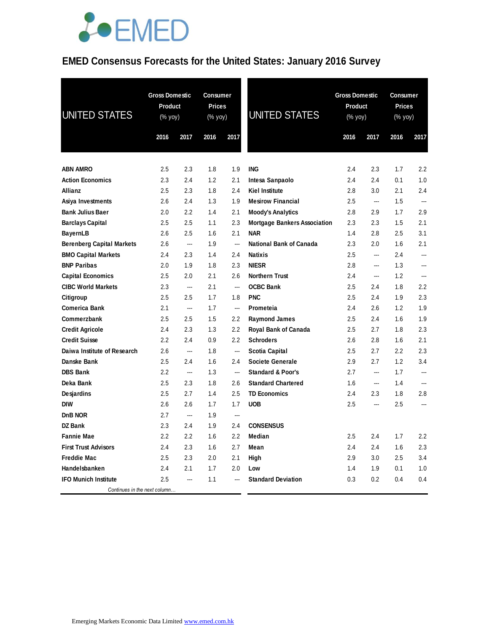### **EMED Consensus Forecasts for the United States: January 2016 Survey**

| <b>UNITED STATES</b>             | <b>Gross Domestic</b><br>Product<br>(% yoy) |                          | <b>Gross Domestic</b><br><b>Consumer</b><br><b>Prices</b><br>Product<br><b>UNITED STATES</b><br>(% yoy)<br>(% yoy) |                          |                                     | Consumer<br><b>Prices</b><br>(% yoy) |                |      |                          |
|----------------------------------|---------------------------------------------|--------------------------|--------------------------------------------------------------------------------------------------------------------|--------------------------|-------------------------------------|--------------------------------------|----------------|------|--------------------------|
|                                  | 2016                                        | 2017                     | 2016                                                                                                               | 2017                     |                                     | 2016                                 | 2017           | 2016 | 2017                     |
| <b>ABN AMRO</b>                  | 2.5                                         | 2.3                      | 1.8                                                                                                                | 1.9                      | <b>ING</b>                          | 2.4                                  | 2.3            | 1.7  | 2.2                      |
| <b>Action Economics</b>          | 2.3                                         | 2.4                      | 1.2                                                                                                                | 2.1                      | Intesa Sanpaolo                     | 2.4                                  | 2.4            | 0.1  | 1.0                      |
| <b>Allianz</b>                   | 2.5                                         | 2.3                      | 1.8                                                                                                                | 2.4                      | <b>Kiel Institute</b>               | 2.8                                  | 3.0            | 2.1  | 2.4                      |
| Asiya Investments                | 2.6                                         | 2.4                      | 1.3                                                                                                                | 1.9                      | <b>Mesirow Financial</b>            | 2.5                                  | $\overline{a}$ | 1.5  | $\overline{\phantom{a}}$ |
| <b>Bank Julius Baer</b>          | 2.0                                         | 2.2                      | 1.4                                                                                                                | 2.1                      | <b>Moody's Analytics</b>            | 2.8                                  | 2.9            | 1.7  | 2.9                      |
| <b>Barclays Capital</b>          | 2.5                                         | 2.5                      | 1.1                                                                                                                | 2.3                      | <b>Mortgage Bankers Association</b> | 2.3                                  | 2.3            | 1.5  | 2.1                      |
| <b>BayernLB</b>                  | 2.6                                         | 2.5                      | 1.6                                                                                                                | 2.1                      | <b>NAR</b>                          | 1.4                                  | 2.8            | 2.5  | 3.1                      |
| <b>Berenberg Capital Markets</b> | 2.6                                         | ---                      | 1.9                                                                                                                | $\overline{a}$           | National Bank of Canada             | 2.3                                  | 2.0            | 1.6  | 2.1                      |
| <b>BMO Capital Markets</b>       | 2.4                                         | 2.3                      | 1.4                                                                                                                | 2.4                      | <b>Natixis</b>                      | 2.5                                  | $\overline{a}$ | 2.4  | ---                      |
| <b>BNP Paribas</b>               | 2.0                                         | 1.9                      | 1.8                                                                                                                | 2.3                      | <b>NIESR</b>                        | 2.8                                  | $\overline{a}$ | 1.3  | $\overline{a}$           |
| <b>Capital Economics</b>         | 2.5                                         | 2.0                      | 2.1                                                                                                                | 2.6                      | <b>Northern Trust</b>               | 2.4                                  | ---            | 1.2  | ---                      |
| <b>CIBC World Markets</b>        | 2.3                                         | ---                      | 2.1                                                                                                                | ---                      | <b>OCBC Bank</b>                    | 2.5                                  | 2.4            | 1.8  | 2.2                      |
| Citigroup                        | 2.5                                         | 2.5                      | 1.7                                                                                                                | 1.8                      | <b>PNC</b>                          | 2.5                                  | 2.4            | 1.9  | 2.3                      |
| Comerica Bank                    | 2.1                                         | ---                      | 1.7                                                                                                                | $\overline{\phantom{a}}$ | Prometeia                           | 2.4                                  | 2.6            | 1.2  | 1.9                      |
| Commerzbank                      | 2.5                                         | 2.5                      | 1.5                                                                                                                | 2.2                      | <b>Raymond James</b>                | 2.5                                  | 2.4            | 1.6  | 1.9                      |
| <b>Credit Agricole</b>           | 2.4                                         | 2.3                      | 1.3                                                                                                                | $2.2\phantom{0}$         | <b>Royal Bank of Canada</b>         | 2.5                                  | 2.7            | 1.8  | 2.3                      |
| <b>Credit Suisse</b>             | 2.2                                         | 2.4                      | 0.9                                                                                                                | 2.2                      | <b>Schroders</b>                    | 2.6                                  | 2.8            | 1.6  | 2.1                      |
| Daiwa Institute of Research      | 2.6                                         | $\overline{\phantom{a}}$ | 1.8                                                                                                                | $\sim$                   | <b>Scotia Capital</b>               | 2.5                                  | 2.7            | 2.2  | 2.3                      |
| Danske Bank                      | 2.5                                         | 2.4                      | 1.6                                                                                                                | 2.4                      | Societe Generale                    | 2.9                                  | 2.7            | 1.2  | 3.4                      |
| <b>DBS Bank</b>                  | 2.2                                         | $\overline{a}$           | 1.3                                                                                                                | $\overline{a}$           | <b>Standard &amp; Poor's</b>        | 2.7                                  |                | 1.7  |                          |
| Deka Bank                        | 2.5                                         | 2.3                      | 1.8                                                                                                                | 2.6                      | <b>Standard Chartered</b>           | 1.6                                  | $\overline{a}$ | 1.4  | ---                      |
| Desjardins                       | 2.5                                         | 2.7                      | 1.4                                                                                                                | 2.5                      | <b>TD Economics</b>                 | 2.4                                  | 2.3            | 1.8  | 2.8                      |
| <b>DIW</b>                       | 2.6                                         | 2.6                      | 1.7                                                                                                                | 1.7                      | <b>UOB</b>                          | 2.5                                  | $\overline{a}$ | 2.5  |                          |
| DnB NOR                          | 2.7                                         | ---                      | 1.9                                                                                                                | ---                      |                                     |                                      |                |      |                          |
| <b>DZ</b> Bank                   | 2.3                                         | 2.4                      | 1.9                                                                                                                | 2.4                      | <b>CONSENSUS</b>                    |                                      |                |      |                          |
| <b>Fannie Mae</b>                | 2.2                                         | 2.2                      | 1.6                                                                                                                | 2.2                      | Median                              | 2.5                                  | 2.4            | 1.7  | 2.2                      |
| <b>First Trust Advisors</b>      | 2.4                                         | 2.3                      | 1.6                                                                                                                | 2.7                      | Mean                                | 2.4                                  | 2.4            | 1.6  | 2.3                      |
| <b>Freddie Mac</b>               | 2.5                                         | 2.3                      | 2.0                                                                                                                | 2.1                      | High                                | 2.9                                  | 3.0            | 2.5  | 3.4                      |
| Handelsbanken                    | 2.4                                         | 2.1                      | 1.7                                                                                                                | 2.0                      | Low                                 | 1.4                                  | 1.9            | 0.1  | 1.0                      |
| <b>IFO Munich Institute</b>      | 2.5                                         | ---                      | 1.1                                                                                                                | ---                      | <b>Standard Deviation</b>           | 0.3                                  | 0.2            | 0.4  | 0.4                      |
| Continues in the next column     |                                             |                          |                                                                                                                    |                          |                                     |                                      |                |      |                          |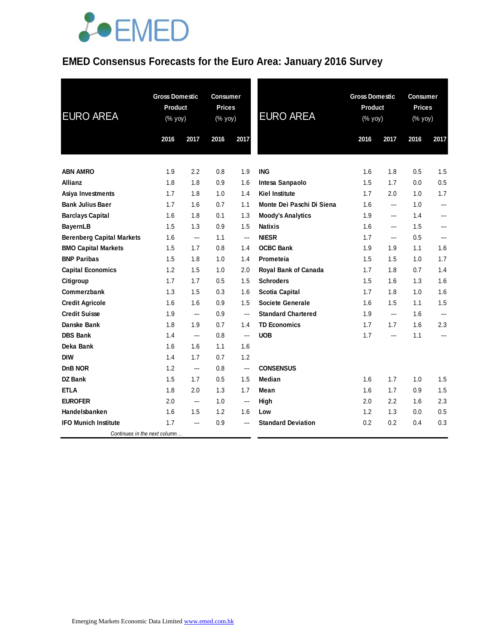### **EMED Consensus Forecasts for the Euro Area: January 2016 Survey**

| <b>EURO AREA</b>                 | <b>Gross Domestic</b><br><b>Product</b><br>$(% \mathsf{Y}^{\prime }\mathsf{Y}^{\prime }\mathsf{Y}^{\prime })$ |                | <b>Consumer</b><br><b>Prices</b><br>(% yoy) |                | <b>EURO AREA</b>          | <b>Gross Domestic</b><br>Product<br>$(\%$ yoy) |      | <b>Consumer</b><br><b>Prices</b><br>(% yoy) |                |
|----------------------------------|---------------------------------------------------------------------------------------------------------------|----------------|---------------------------------------------|----------------|---------------------------|------------------------------------------------|------|---------------------------------------------|----------------|
|                                  | 2016                                                                                                          | 2017           | 2016                                        | 2017           |                           | 2016                                           | 2017 | 2016                                        | 2017           |
|                                  |                                                                                                               |                |                                             |                |                           |                                                |      |                                             |                |
| <b>ABN AMRO</b>                  | 1.9                                                                                                           | 2.2            | 0.8                                         | 1.9            | <b>ING</b>                | 1.6                                            | 1.8  | 0.5                                         | 1.5            |
| <b>Allianz</b>                   | 1.8                                                                                                           | 1.8            | 0.9                                         | 1.6            | Intesa Sanpaolo           | 1.5                                            | 1.7  | 0.0                                         | 0.5            |
| Asiya Investments                | 1.7                                                                                                           | 1.8            | 1.0                                         | 1.4            | <b>Kiel Institute</b>     | 1.7                                            | 2.0  | 1.0                                         | 1.7            |
| <b>Bank Julius Baer</b>          | 1.7                                                                                                           | 1.6            | 0.7                                         | 1.1            | Monte Dei Paschi Di Siena | 1.6                                            | ---  | 1.0                                         | $\overline{a}$ |
| <b>Barclays Capital</b>          | 1.6                                                                                                           | 1.8            | 0.1                                         | 1.3            | <b>Moody's Analytics</b>  | 1.9                                            | ---  | 1.4                                         | $\overline{a}$ |
| <b>BayernLB</b>                  | 1.5                                                                                                           | 1.3            | 0.9                                         | 1.5            | <b>Natixis</b>            | 1.6                                            | ---  | 1.5                                         | ---            |
| <b>Berenberg Capital Markets</b> | 1.6                                                                                                           | ---            | 1.1                                         | ---            | <b>NIESR</b>              | 1.7                                            | ---  | 0.5                                         | $---$          |
| <b>BMO Capital Markets</b>       | 1.5                                                                                                           | 1.7            | 0.8                                         | 1.4            | <b>OCBC Bank</b>          | 1.9                                            | 1.9  | 1.1                                         | 1.6            |
| <b>BNP Paribas</b>               | 1.5                                                                                                           | 1.8            | 1.0                                         | 1.4            | Prometeia                 | 1.5                                            | 1.5  | 1.0                                         | 1.7            |
| <b>Capital Economics</b>         | 1.2                                                                                                           | 1.5            | 1.0                                         | 2.0            | Royal Bank of Canada      | 1.7                                            | 1.8  | 0.7                                         | 1.4            |
| Citigroup                        | 1.7                                                                                                           | 1.7            | 0.5                                         | 1.5            | <b>Schroders</b>          | 1.5                                            | 1.6  | 1.3                                         | 1.6            |
| Commerzbank                      | 1.3                                                                                                           | 1.5            | 0.3                                         | 1.6            | <b>Scotia Capital</b>     | 1.7                                            | 1.8  | 1.0                                         | 1.6            |
| <b>Credit Agricole</b>           | 1.6                                                                                                           | 1.6            | 0.9                                         | 1.5            | <b>Societe Generale</b>   | 1.6                                            | 1.5  | 1.1                                         | 1.5            |
| <b>Credit Suisse</b>             | 1.9                                                                                                           | ---            | 0.9                                         | $---$          | <b>Standard Chartered</b> | 1.9                                            | ---  | 1.6                                         |                |
| Danske Bank                      | 1.8                                                                                                           | 1.9            | 0.7                                         | 1.4            | <b>TD Economics</b>       | 1.7                                            | 1.7  | 1.6                                         | 2.3            |
| <b>DBS Bank</b>                  | 1.4                                                                                                           | $\overline{a}$ | 0.8                                         | $\overline{a}$ | <b>UOB</b>                | 1.7                                            | ---  | 1.1                                         | $---$          |
| Deka Bank                        | 1.6                                                                                                           | 1.6            | 1.1                                         | 1.6            |                           |                                                |      |                                             |                |
| <b>DIW</b>                       | 1.4                                                                                                           | 1.7            | 0.7                                         | 1.2            |                           |                                                |      |                                             |                |
| <b>DnB NOR</b>                   | 1.2                                                                                                           | ---            | 0.8                                         | ---            | <b>CONSENSUS</b>          |                                                |      |                                             |                |
| <b>DZ Bank</b>                   | 1.5                                                                                                           | 1.7            | 0.5                                         | 1.5            | <b>Median</b>             | 1.6                                            | 1.7  | 1.0                                         | 1.5            |
| <b>ETLA</b>                      | 1.8                                                                                                           | 2.0            | 1.3                                         | 1.7            | Mean                      | 1.6                                            | 1.7  | 0.9                                         | 1.5            |
| <b>EUROFER</b>                   | 2.0                                                                                                           | ---            | 1.0                                         | ---            | High                      | 2.0                                            | 2.2  | 1.6                                         | 2.3            |
| Handelsbanken                    | 1.6                                                                                                           | 1.5            | 1.2                                         | 1.6            | Low                       | 1.2                                            | 1.3  | 0.0                                         | 0.5            |
| <b>IFO Munich Institute</b>      | 1.7                                                                                                           | ---            | 0.9                                         | $\overline{a}$ | <b>Standard Deviation</b> | 0.2                                            | 0.2  | 0.4                                         | 0.3            |
| Continues in the next column     |                                                                                                               |                |                                             |                |                           |                                                |      |                                             |                |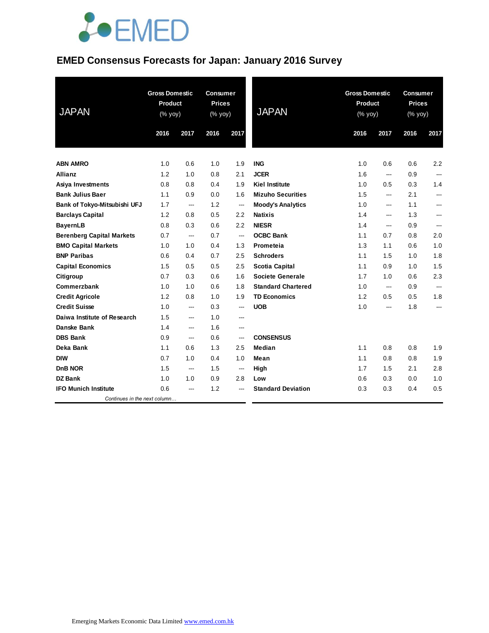### **EMED Consensus Forecasts for Japan: January 2016 Survey**

| <b>JAPAN</b>                     | <b>Gross Domestic</b><br><b>Product</b><br>(% yoy) |                          | <b>Consumer</b><br><b>Prices</b><br>(% yoy) |                          | <b>JAPAN</b>              | <b>Gross Domestic</b><br><b>Product</b><br>(% yoy) |      | <b>Consumer</b><br><b>Prices</b><br>(% yoy) |                |
|----------------------------------|----------------------------------------------------|--------------------------|---------------------------------------------|--------------------------|---------------------------|----------------------------------------------------|------|---------------------------------------------|----------------|
|                                  | 2016                                               | 2017                     | 2016                                        | 2017                     |                           | 2016                                               | 2017 | 2016                                        | 2017           |
| <b>ABN AMRO</b>                  | 1.0                                                | 0.6                      | 1.0                                         | 1.9                      | <b>ING</b>                | 1.0                                                | 0.6  | 0.6                                         | 2.2            |
| Allianz                          | 1.2                                                | 1.0                      | 0.8                                         | 2.1                      | <b>JCER</b>               | 1.6                                                | ---  | 0.9                                         | $\overline{a}$ |
| Asiya Investments                | 0.8                                                | 0.8                      | 0.4                                         | 1.9                      | <b>Kiel Institute</b>     | 1.0                                                | 0.5  | 0.3                                         | 1.4            |
| <b>Bank Julius Baer</b>          | 1.1                                                | 0.9                      | 0.0                                         | 1.6                      | <b>Mizuho Securities</b>  | 1.5                                                | ---  | 2.1                                         | $---$          |
| Bank of Tokyo-Mitsubishi UFJ     | 1.7                                                | $\overline{\phantom{a}}$ | 1.2                                         | ---                      | <b>Moody's Analytics</b>  | 1.0                                                | ---  | 1.1                                         |                |
| <b>Barclays Capital</b>          | 1.2                                                | 0.8                      | 0.5                                         | 2.2                      | <b>Natixis</b>            | 1.4                                                | ---  | 1.3                                         | ---            |
| <b>BayernLB</b>                  | 0.8                                                | 0.3                      | 0.6                                         | 2.2                      | <b>NIESR</b>              | 1.4                                                | ---  | 0.9                                         | ---            |
| <b>Berenberg Capital Markets</b> | 0.7                                                | ---                      | 0.7                                         | ---                      | <b>OCBC Bank</b>          | 1.1                                                | 0.7  | 0.8                                         | 2.0            |
| <b>BMO Capital Markets</b>       | 1.0                                                | 1.0                      | 0.4                                         | 1.3                      | Prometeia                 | 1.3                                                | 1.1  | 0.6                                         | 1.0            |
| <b>BNP Paribas</b>               | 0.6                                                | 0.4                      | 0.7                                         | 2.5                      | <b>Schroders</b>          | 1.1                                                | 1.5  | 1.0                                         | 1.8            |
| <b>Capital Economics</b>         | 1.5                                                | 0.5                      | 0.5                                         | 2.5                      | <b>Scotia Capital</b>     | 1.1                                                | 0.9  | 1.0                                         | 1.5            |
| Citigroup                        | 0.7                                                | 0.3                      | 0.6                                         | 1.6                      | Societe Generale          | 1.7                                                | 1.0  | 0.6                                         | 2.3            |
| Commerzbank                      | 1.0                                                | 1.0                      | 0.6                                         | 1.8                      | <b>Standard Chartered</b> | 1.0                                                | ---  | 0.9                                         | $\overline{a}$ |
| <b>Credit Agricole</b>           | 1.2                                                | 0.8                      | 1.0                                         | 1.9                      | <b>TD Economics</b>       | 1.2                                                | 0.5  | 0.5                                         | 1.8            |
| <b>Credit Suisse</b>             | 1.0                                                | ---                      | 0.3                                         | ---                      | <b>UOB</b>                | 1.0                                                | ---  | 1.8                                         | ---            |
| Daiwa Institute of Research      | 1.5                                                | ---                      | 1.0                                         | ---                      |                           |                                                    |      |                                             |                |
| Danske Bank                      | 1.4                                                | $\qquad \qquad \cdots$   | 1.6                                         | $\overline{\phantom{a}}$ |                           |                                                    |      |                                             |                |
| <b>DBS Bank</b>                  | 0.9                                                | ---                      | 0.6                                         | ---                      | <b>CONSENSUS</b>          |                                                    |      |                                             |                |
| Deka Bank                        | 1.1                                                | 0.6                      | 1.3                                         | 2.5                      | <b>Median</b>             | 1.1                                                | 0.8  | 0.8                                         | 1.9            |
| <b>DIW</b>                       | 0.7                                                | 1.0                      | 0.4                                         | 1.0                      | Mean                      | 1.1                                                | 0.8  | 0.8                                         | 1.9            |
| D <sub>n</sub> B NOR             | 1.5                                                | ---                      | 1.5                                         | ---                      | High                      | 1.7                                                | 1.5  | 2.1                                         | 2.8            |
| <b>DZ Bank</b>                   | 1.0                                                | 1.0                      | 0.9                                         | 2.8                      | Low                       | 0.6                                                | 0.3  | 0.0                                         | 1.0            |
| <b>IFO Munich Institute</b>      | 0.6                                                | ---                      | 1.2                                         | ---                      | <b>Standard Deviation</b> | 0.3                                                | 0.3  | 0.4                                         | 0.5            |
| Continues in the next column     |                                                    |                          |                                             |                          |                           |                                                    |      |                                             |                |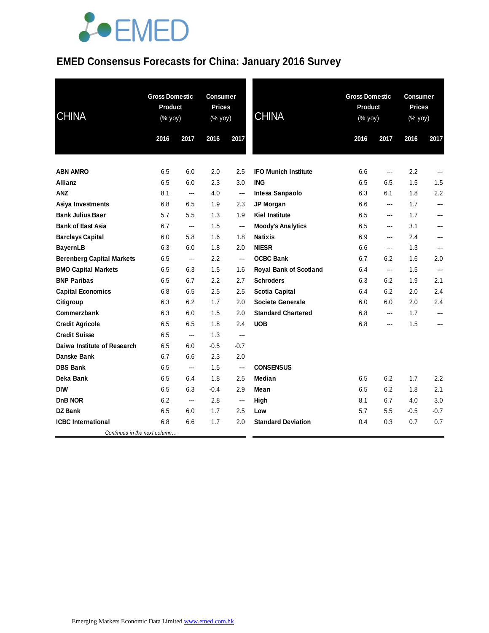### **EMED Consensus Forecasts for China: January 2016 Survey**

| <b>CHINA</b>                     | <b>Gross Domestic</b><br><b>Product</b><br>$(% \mathsf{Y}^{\prime }\mathsf{Y}^{\prime }\mathsf{Y}^{\prime })$ |                | <b>Consumer</b><br><b>Prices</b><br>(% yoy) |                          | <b>CHINA</b>                  | <b>Gross Domestic</b><br><b>Product</b><br>(% yoy) |                | Consumer<br><b>Prices</b><br>(% yoy) |                |
|----------------------------------|---------------------------------------------------------------------------------------------------------------|----------------|---------------------------------------------|--------------------------|-------------------------------|----------------------------------------------------|----------------|--------------------------------------|----------------|
|                                  | 2016                                                                                                          | 2017           | 2016                                        | 2017                     |                               | 2016                                               | 2017           | 2016                                 | 2017           |
| <b>ABN AMRO</b>                  | 6.5                                                                                                           | 6.0            | 2.0                                         | 2.5                      | <b>IFO Munich Institute</b>   | 6.6                                                | ---            | 2.2                                  |                |
| <b>Allianz</b>                   | 6.5                                                                                                           | 6.0            | 2.3                                         | 3.0                      | <b>ING</b>                    | 6.5                                                | 6.5            | 1.5                                  | 1.5            |
| <b>ANZ</b>                       | 8.1                                                                                                           | ---            | 4.0                                         | $\overline{\phantom{a}}$ | Intesa Sanpaolo               | 6.3                                                | 6.1            | 1.8                                  | 2.2            |
| Asiya Investments                | 6.8                                                                                                           | 6.5            | 1.9                                         | 2.3                      | JP Morgan                     | 6.6                                                | ---            | 1.7                                  | ---            |
| <b>Bank Julius Baer</b>          | 5.7                                                                                                           | 5.5            | 1.3                                         | 1.9                      | <b>Kiel Institute</b>         | 6.5                                                | ---            | 1.7                                  | $\overline{a}$ |
| <b>Bank of East Asia</b>         | 6.7                                                                                                           | $\overline{a}$ | 1.5                                         | $---$                    | <b>Moody's Analytics</b>      | 6.5                                                | $\overline{a}$ | 3.1                                  | $\overline{a}$ |
| <b>Barclays Capital</b>          | 6.0                                                                                                           | 5.8            | 1.6                                         | 1.8                      | <b>Natixis</b>                | 6.9                                                | ---            | 2.4                                  | ---            |
| <b>BayernLB</b>                  | 6.3                                                                                                           | 6.0            | 1.8                                         | 2.0                      | <b>NIESR</b>                  | 6.6                                                | ---            | 1.3                                  | ---            |
| <b>Berenberg Capital Markets</b> | 6.5                                                                                                           | ---            | 2.2                                         | ---                      | <b>OCBC Bank</b>              | 6.7                                                | 6.2            | 1.6                                  | 2.0            |
| <b>BMO Capital Markets</b>       | 6.5                                                                                                           | 6.3            | 1.5                                         | 1.6                      | <b>Royal Bank of Scotland</b> | 6.4                                                | ---            | 1.5                                  | ---            |
| <b>BNP Paribas</b>               | 6.5                                                                                                           | 6.7            | 2.2                                         | 2.7                      | <b>Schroders</b>              | 6.3                                                | 6.2            | 1.9                                  | 2.1            |
| <b>Capital Economics</b>         | 6.8                                                                                                           | 6.5            | 2.5                                         | 2.5                      | <b>Scotia Capital</b>         | 6.4                                                | 6.2            | 2.0                                  | 2.4            |
| Citigroup                        | 6.3                                                                                                           | 6.2            | 1.7                                         | 2.0                      | <b>Societe Generale</b>       | 6.0                                                | 6.0            | 2.0                                  | 2.4            |
| Commerzbank                      | 6.3                                                                                                           | 6.0            | 1.5                                         | 2.0                      | <b>Standard Chartered</b>     | 6.8                                                | ---            | 1.7                                  | $---$          |
| <b>Credit Agricole</b>           | 6.5                                                                                                           | 6.5            | 1.8                                         | 2.4                      | <b>UOB</b>                    | 6.8                                                | ---            | 1.5                                  | ---            |
| <b>Credit Suisse</b>             | 6.5                                                                                                           | ---            | 1.3                                         | ---                      |                               |                                                    |                |                                      |                |
| Daiwa Institute of Research      | 6.5                                                                                                           | 6.0            | $-0.5$                                      | $-0.7$                   |                               |                                                    |                |                                      |                |
| Danske Bank                      | 6.7                                                                                                           | 6.6            | 2.3                                         | 2.0                      |                               |                                                    |                |                                      |                |
| <b>DBS Bank</b>                  | 6.5                                                                                                           | $---$          | 1.5                                         | ---                      | <b>CONSENSUS</b>              |                                                    |                |                                      |                |
| Deka Bank                        | 6.5                                                                                                           | 6.4            | 1.8                                         | 2.5                      | Median                        | 6.5                                                | 6.2            | 1.7                                  | 2.2            |
| <b>DIW</b>                       | 6.5                                                                                                           | 6.3            | $-0.4$                                      | 2.9                      | Mean                          | 6.5                                                | 6.2            | 1.8                                  | 2.1            |
| <b>DnB NOR</b>                   | 6.2                                                                                                           | $\overline{a}$ | 2.8                                         | ---                      | High                          | 8.1                                                | 6.7            | 4.0                                  | 3.0            |
| <b>DZ Bank</b>                   | 6.5                                                                                                           | 6.0            | 1.7                                         | $2.5\,$                  | Low                           | 5.7                                                | 5.5            | -0.5                                 | $-0.7$         |
| <b>ICBC</b> International        | 6.8                                                                                                           | 6.6            | 1.7                                         | 2.0                      | <b>Standard Deviation</b>     | 0.4                                                | 0.3            | 0.7                                  | 0.7            |
| Continues in the next column     |                                                                                                               |                |                                             |                          |                               |                                                    |                |                                      |                |